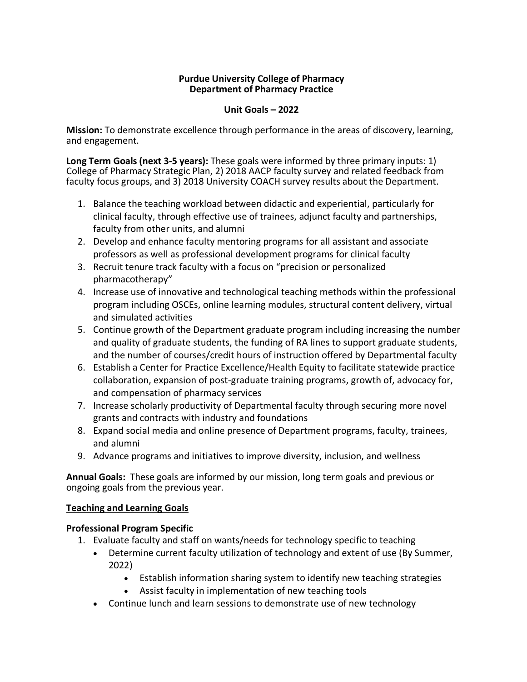#### **Purdue University College of Pharmacy Department of Pharmacy Practice**

#### **Unit Goals – 2022**

**Mission:** To demonstrate excellence through performance in the areas of discovery, learning, and engagement.

**Long Term Goals (next 3-5 years):** These goals were informed by three primary inputs: 1) College of Pharmacy Strategic Plan, 2) 2018 AACP faculty survey and related feedback from faculty focus groups, and 3) 2018 University COACH survey results about the Department.

- 1. Balance the teaching workload between didactic and experiential, particularly for clinical faculty, through effective use of trainees, adjunct faculty and partnerships, faculty from other units, and alumni
- 2. Develop and enhance faculty mentoring programs for all assistant and associate professors as well as professional development programs for clinical faculty
- 3. Recruit tenure track faculty with a focus on "precision or personalized pharmacotherapy"
- 4. Increase use of innovative and technological teaching methods within the professional program including OSCEs, online learning modules, structural content delivery, virtual and simulated activities
- 5. Continue growth of the Department graduate program including increasing the number and quality of graduate students, the funding of RA lines to support graduate students, and the number of courses/credit hours of instruction offered by Departmental faculty
- 6. Establish a Center for Practice Excellence/Health Equity to facilitate statewide practice collaboration, expansion of post-graduate training programs, growth of, advocacy for, and compensation of pharmacy services
- 7. Increase scholarly productivity of Departmental faculty through securing more novel grants and contracts with industry and foundations
- 8. Expand social media and online presence of Department programs, faculty, trainees, and alumni
- 9. Advance programs and initiatives to improve diversity, inclusion, and wellness

**Annual Goals:** These goals are informed by our mission, long term goals and previous or ongoing goals from the previous year.

#### **Teaching and Learning Goals**

#### **Professional Program Specific**

- 1. Evaluate faculty and staff on wants/needs for technology specific to teaching
	- Determine current faculty utilization of technology and extent of use (By Summer, 2022)
		- Establish information sharing system to identify new teaching strategies
		- Assist faculty in implementation of new teaching tools
	- Continue lunch and learn sessions to demonstrate use of new technology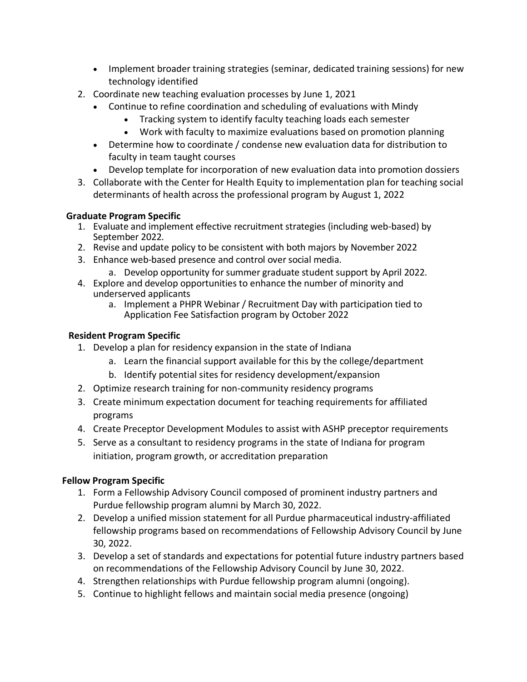- Implement broader training strategies (seminar, dedicated training sessions) for new technology identified
- 2. Coordinate new teaching evaluation processes by June 1, 2021
	- Continue to refine coordination and scheduling of evaluations with Mindy
		- Tracking system to identify faculty teaching loads each semester
		- Work with faculty to maximize evaluations based on promotion planning
	- Determine how to coordinate / condense new evaluation data for distribution to faculty in team taught courses
	- Develop template for incorporation of new evaluation data into promotion dossiers
- 3. Collaborate with the Center for Health Equity to implementation plan for teaching social determinants of health across the professional program by August 1, 2022

#### **Graduate Program Specific**

- 1. Evaluate and implement effective recruitment strategies (including web-based) by September 2022.
- 2. Revise and update policy to be consistent with both majors by November 2022
- 3. Enhance web-based presence and control over social media.
	- a. Develop opportunity for summer graduate student support by April 2022.
- 4. Explore and develop opportunities to enhance the number of minority and underserved applicants
	- a. Implement a PHPR Webinar / Recruitment Day with participation tied to Application Fee Satisfaction program by October 2022

# **Resident Program Specific**

- 1. Develop a plan for residency expansion in the state of Indiana
	- a. Learn the financial support available for this by the college/department
	- b. Identify potential sites for residency development/expansion
- 2. Optimize research training for non-community residency programs
- 3. Create minimum expectation document for teaching requirements for affiliated programs
- 4. Create Preceptor Development Modules to assist with ASHP preceptor requirements
- 5. Serve as a consultant to residency programs in the state of Indiana for program initiation, program growth, or accreditation preparation

# **Fellow Program Specific**

- 1. Form a Fellowship Advisory Council composed of prominent industry partners and Purdue fellowship program alumni by March 30, 2022.
- 2. Develop a unified mission statement for all Purdue pharmaceutical industry-affiliated fellowship programs based on recommendations of Fellowship Advisory Council by June 30, 2022.
- 3. Develop a set of standards and expectations for potential future industry partners based on recommendations of the Fellowship Advisory Council by June 30, 2022.
- 4. Strengthen relationships with Purdue fellowship program alumni (ongoing).
- 5. Continue to highlight fellows and maintain social media presence (ongoing)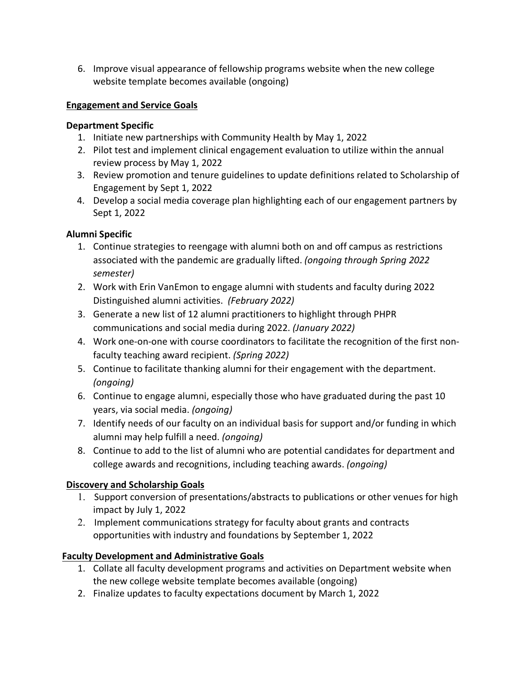6. Improve visual appearance of fellowship programs website when the new college website template becomes available (ongoing)

### **Engagement and Service Goals**

#### **Department Specific**

- 1. Initiate new partnerships with Community Health by May 1, 2022
- 2. Pilot test and implement clinical engagement evaluation to utilize within the annual review process by May 1, 2022
- 3. Review promotion and tenure guidelines to update definitions related to Scholarship of Engagement by Sept 1, 2022
- 4. Develop a social media coverage plan highlighting each of our engagement partners by Sept 1, 2022

# **Alumni Specific**

- 1. Continue strategies to reengage with alumni both on and off campus as restrictions associated with the pandemic are gradually lifted. *(ongoing through Spring 2022 semester)*
- 2. Work with Erin VanEmon to engage alumni with students and faculty during 2022 Distinguished alumni activities. *(February 2022)*
- 3. Generate a new list of 12 alumni practitioners to highlight through PHPR communications and social media during 2022. *(January 2022)*
- 4. Work one-on-one with course coordinators to facilitate the recognition of the first nonfaculty teaching award recipient. *(Spring 2022)*
- 5. Continue to facilitate thanking alumni for their engagement with the department. *(ongoing)*
- 6. Continue to engage alumni, especially those who have graduated during the past 10 years, via social media. *(ongoing)*
- 7. Identify needs of our faculty on an individual basis for support and/or funding in which alumni may help fulfill a need. *(ongoing)*
- 8. Continue to add to the list of alumni who are potential candidates for department and college awards and recognitions, including teaching awards. *(ongoing)*

# **Discovery and Scholarship Goals**

- 1. Support conversion of presentations/abstracts to publications or other venues for high impact by July 1, 2022
- 2. Implement communications strategy for faculty about grants and contracts opportunities with industry and foundations by September 1, 2022

# **Faculty Development and Administrative Goals**

- 1. Collate all faculty development programs and activities on Department website when the new college website template becomes available (ongoing)
- 2. Finalize updates to faculty expectations document by March 1, 2022